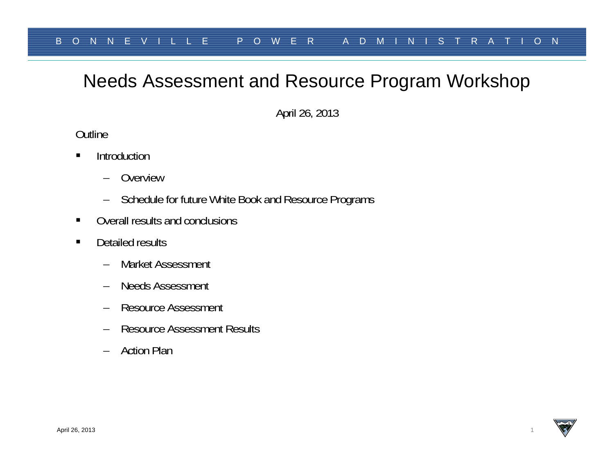# Needs Assessment and Resource Program Workshop

April 26, 2013

**Outline** 

- $\blacksquare$ **Introduction** 
	- –Overview
	- –Schedule for future White Book and Resource Programs
- $\blacksquare$ Overall results and conclusions
- $\blacksquare$  Detailed results
	- $\equiv$ Market Assessment
	- Needs Assessment
	- Resource Assessment
	- Resource Assessment Results
	- Action Plan

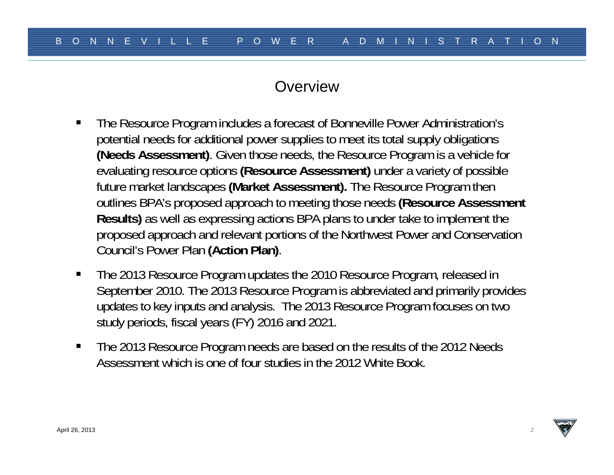#### **Overview**

- $\blacksquare$  The Resource Program includes a forecast of Bonneville Power Administration's potential needs for additional power supplies to meet its total supply obligations **(Needs Assessment)**. Given those needs, the Resource Program is a vehicle for evaluating resource options **(Resource Assessment)** under a variety of possible future market landscapes **(Market Assessment).** The Resource Program then outlines BPA's proposed approach to meeting those needs **(Resource Assessment Results)** as well as expressing actions BPA plans to under take to implement the proposed approach and relevant portions of the Northwest Power and Conservation Council's Power Plan **(Action Plan)**.
- $\blacksquare$  The 2013 Resource Program updates the 2010 Resource Program, released in September 2010. The 2013 Resource Program is abbreviated and primarily provides updates to key inputs and analysis. The 2013 Resource Program focuses on two study periods, fiscal years (FY) 2016 and 2021.
- $\blacksquare$  The 2013 Resource Program needs are based on the results of the 2012 Needs Assessment which is one of four studies in the 2012 White Book.

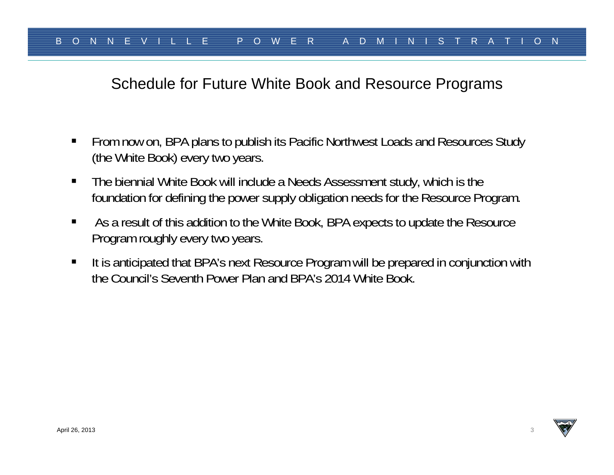#### Schedule for Future White Book and Resource Programs

- From now on, BPA plans to publish its Pacific Northwest Loads and Resources Study (the White Book) every two years.
- $\blacksquare$  The biennial White Book will include a Needs Assessment study, which is the foundation for defining the power supply obligation needs for the Resource Program.
- $\blacksquare$  As a result of this addition to the White Book, BPA expects to update the Resource Program roughly every two years.
- п It is anticipated that BPA's next Resource Program will be prepared in conjunction with the Council's Seventh Power Plan and BPA's 2014 White Book.

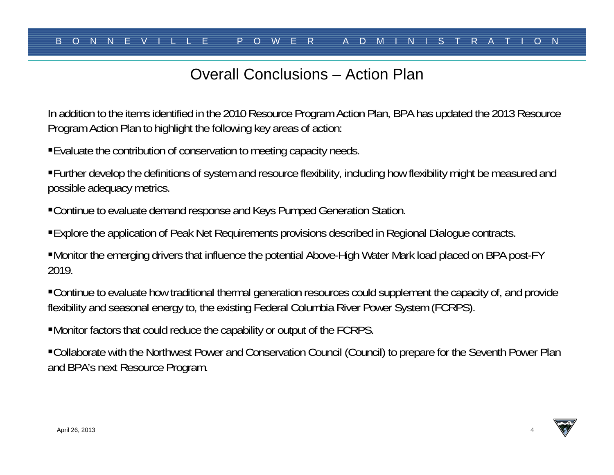## Overall Conclusions – Action Plan

In addition to the items identified in the 2010 Resource Program Action Plan, BPA has updated the 2013 Resource Program Action Plan to highlight the following key areas of action:

Evaluate the contribution of conservation to meeting capacity needs.

Further develop the definitions of system and resource flexibility, including how flexibility might be measured and possible adequacy metrics.

Continue to evaluate demand response and Keys Pumped Generation Station.

Explore the application of Peak Net Requirements provisions described in Regional Dialogue contracts.

Monitor the emerging drivers that influence the potential Above-High Water Mark load placed on BPA post-FY 2019.

Continue to evaluate how traditional thermal generation resources could supplement the capacity of, and provide flexibility and seasonal energy to, the existing Federal Columbia River Power System (FCRPS).

Monitor factors that could reduce the capability or output of the FCRPS.

Collaborate with the Northwest Power and Conservation Council (Council) to prepare for the Seventh Power Plan and BPA's next Resource Program.

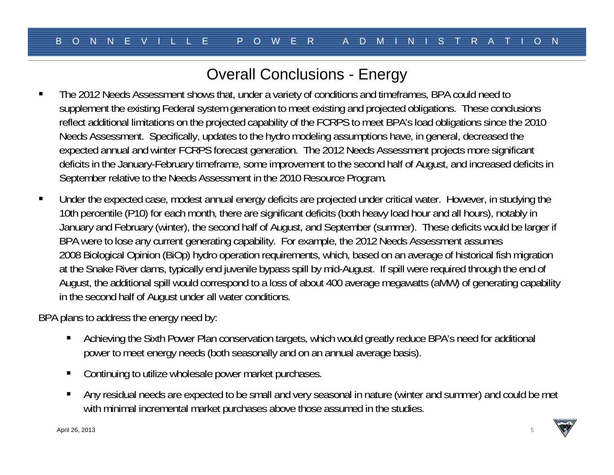# Overall Conclusions - Energy

- The 2012 Needs Assessment shows that, under a variety of conditions and timeframes, BPA could need to supplement the existing Federal system generation to meet existing and projected obligations. These conclusions reflect additional limitations on the projected capability of the FCRPS to meet BPA's load obligations since the 2010 Needs Assessment. Specifically, updates to the hydro modeling assumptions have, in general, decreased the expected annual and winter FCRPS forecast generation. The 2012 Needs Assessment projects more significant deficits in the January-February timeframe, some improvement to the second half of August, and increased deficits in September relative to the Needs Assessment in the 2010 Resource Program.
- $\blacksquare$  Under the expected case, modest annual energy deficits are projected under critical water. However, in studying the 10th percentile (P10) for each month, there are significant deficits (both heavy load hour and all hours), notably in January and February (winter), the second half of August, and September (summer). These deficits would be larger if BPA were to lose any current generating capability. For example, the 2012 Needs Assessment assumes 2008 Biological Opinion (BiOp) hydro operation requirements, which, based on an average of historical fish migration at the Snake River dams, typically end juvenile bypass spill by mid-August. If spill were required through the end of August, the additional spill would correspond to a loss of about 400 average megawatts (aMW) of generating capability in the second half of August under all water conditions.

BPA plans to address the energy need by:

- $\blacksquare$  Achieving the Sixth Power Plan conservation targets, which would greatly reduce BPA's need for additional power to meet energy needs (both seasonally and on an annual average basis).
- $\blacksquare$ Continuing to utilize wholesale power market purchases.
- $\blacksquare$  Any residual needs are expected to be small and very seasonal in nature (winter and summer) and could be met with minimal incremental market purchases above those assumed in the studies.

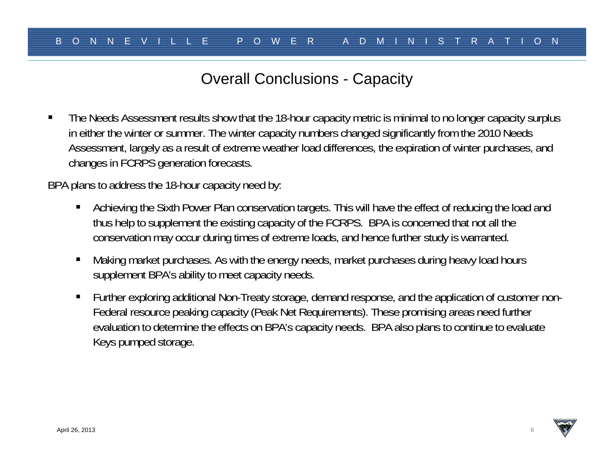## Overall Conclusions - Capacity

 $\blacksquare$  The Needs Assessment results show that the 18-hour capacity metric is minimal to no longer capacity surplus in either the winter or summer. The winter capacity numbers changed significantly from the 2010 Needs Assessment, largely as a result of extreme weather load differences, the expiration of winter purchases, and changes in FCRPS generation forecasts.

BPA plans to address the 18-hour capacity need by:

- $\blacksquare$  Achieving the Sixth Power Plan conservation targets. This will have the effect of reducing the load and thus help to supplement the existing capacity of the FCRPS. BPA is concerned that not all the conservation may occur during times of extreme loads, and hence further study is warranted.
- $\blacksquare$  Making market purchases. As with the energy needs, market purchases during heavy load hours supplement BPA's ability to meet capacity needs.
- $\blacksquare$  Further exploring additional Non-Treaty storage, demand response, and the application of customer non-Federal resource peaking capacity (Peak Net Requirements). These promising areas need further evaluation to determine the effects on BPA's capacity needs. BPA also plans to continue to evaluate Keys pumped storage.

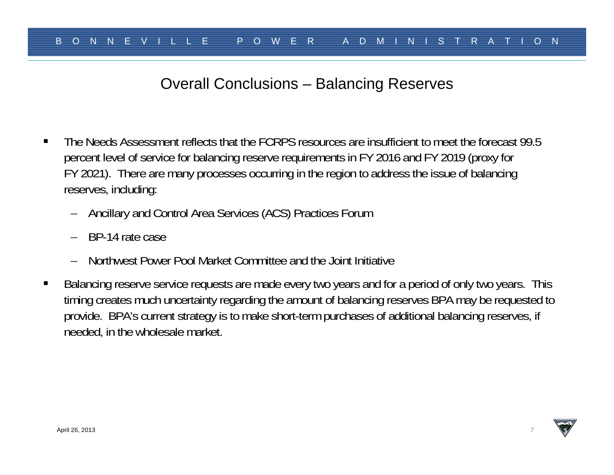## Overall Conclusions – Balancing Reserves

- $\blacksquare$  The Needs Assessment reflects that the FCRPS resources are insufficient to meet the forecast 99.5 percent level of service for balancing reserve requirements in FY 2016 and FY 2019 (proxy for FY 2021). There are many processes occurring in the region to address the issue of balancing reserves, including:
	- Ancillary and Control Area Services (ACS) Practices Forum
	- BP-14 rate case
	- Northwest Power Pool Market Committee and the Joint Initiative
- $\blacksquare$  Balancing reserve service requests are made every two years and for a period of only two years. This timing creates much uncertainty regarding the amount of balancing reserves BPA may be requested to provide. BPA's current strategy is to make short-term purchases of additional balancing reserves, if needed, in the wholesale market.

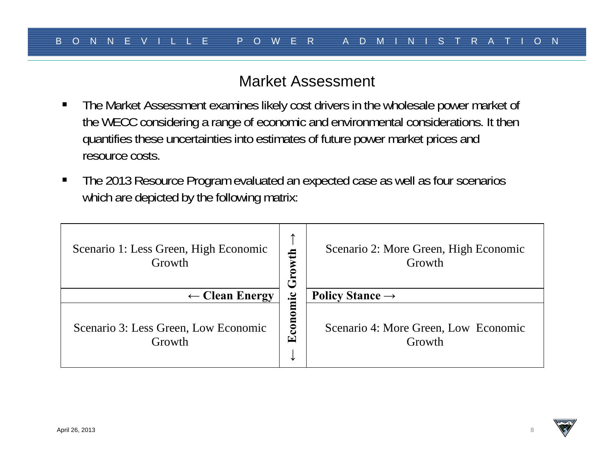#### Market Assessment

- $\blacksquare$  The Market Assessment examines likely cost drivers in the wholesale power market of the WECC considering a range of economic and environmental considerations. It then quantifies these uncertainties into estimates of future power market prices and resource costs.
- $\blacksquare$  The 2013 Resource Program evaluated an expected case as well as four scenarios which are depicted by the following matrix:

| Scenario 1: Less Green, High Economic<br>Growth | ᠰ<br>$\mathbf{f}$<br>Grow | Scenario 2: More Green, High Economic<br>Growth |
|-------------------------------------------------|---------------------------|-------------------------------------------------|
| $\leftarrow$ Clean Energy                       |                           | Policy Stance $\rightarrow$                     |
| Scenario 3: Less Green, Low Economic<br>Growth  | Economic<br>V             | Scenario 4: More Green, Low Economic<br>Growth  |

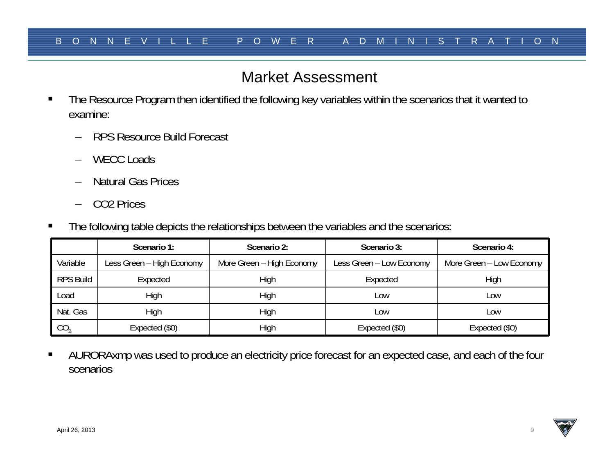## Market Assessment

- $\blacksquare$  The Resource Program then identified the following key variables within the scenarios that it wanted to examine:
	- RPS Resource Build Forecast
	- WECC Loads
	- –Natural Gas Prices
	- –CO2 Prices
- П The following table depicts the relationships between the variables and the scenarios:

|                  | Scenario 2:<br>Scenario 1: |                                                       | Scenario 3:    | Scenario 4:              |  |
|------------------|----------------------------|-------------------------------------------------------|----------------|--------------------------|--|
| Variable         | Less Green – High Economy  | More Green - High Economy<br>Less Green - Low Economy |                | More Green - Low Economy |  |
| <b>RPS Build</b> | Expected                   | High                                                  | Expected       | High                     |  |
| Load             | High                       | High                                                  | Low            | Low                      |  |
| Nat. Gas         | High                       | High                                                  | _OW            | Low                      |  |
| CO <sub>2</sub>  | Expected (\$0)             | High                                                  | Expected (\$0) | Expected (\$0)           |  |

 $\blacksquare$  AURORAxmp was used to produce an electricity price forecast for an expected case, and each of the four scenarios

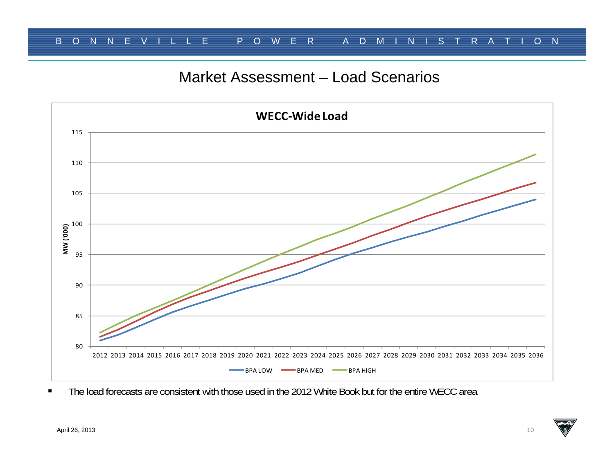## Market Assessment – Load Scenarios



 $\blacksquare$ The load forecasts are consistent with those used in the 2012 White Book but for the entire WECC area

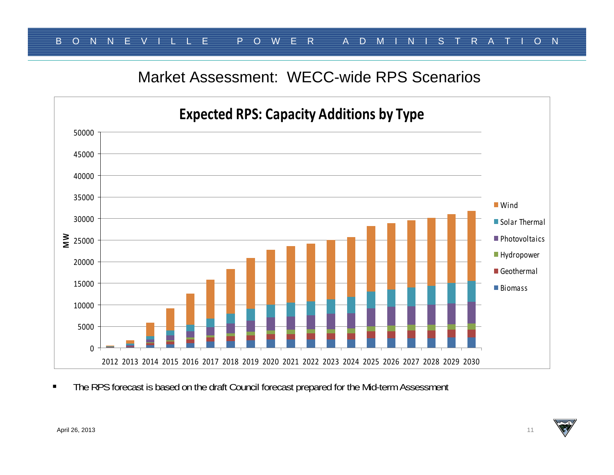#### Market Assessment: WECC-wide RPS Scenarios



 $\blacksquare$ The RPS forecast is based on the draft Council forecast prepared for the Mid-term Assessment

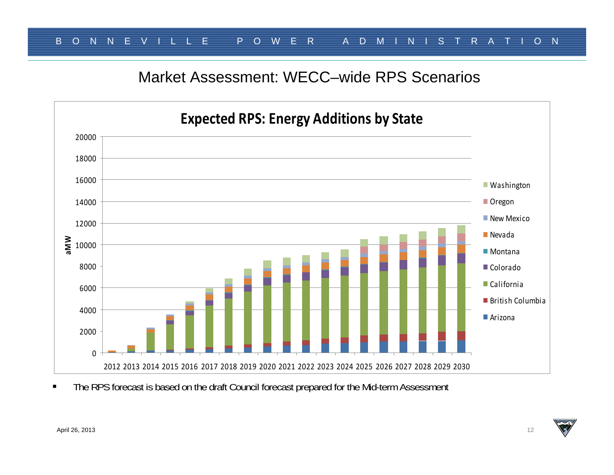#### Market Assessment: WECC–wide RPS Scenarios



 $\blacksquare$ The RPS forecast is based on the draft Council forecast prepared for the Mid-term Assessment

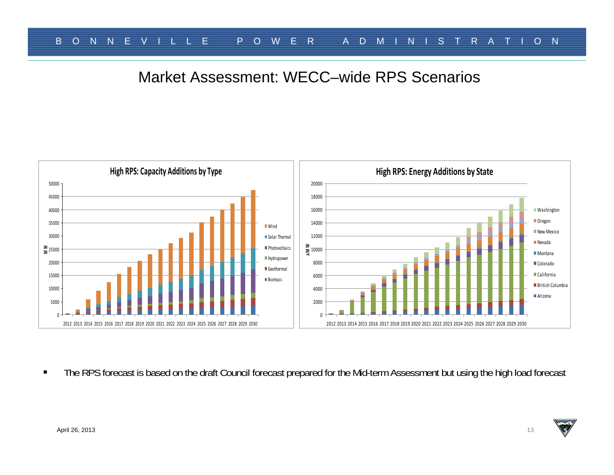#### Market Assessment: WECC–wide RPS Scenarios



 $\blacksquare$ The RPS forecast is based on the draft Council forecast prepared for the Mid-term Assessment but using the high load forecast

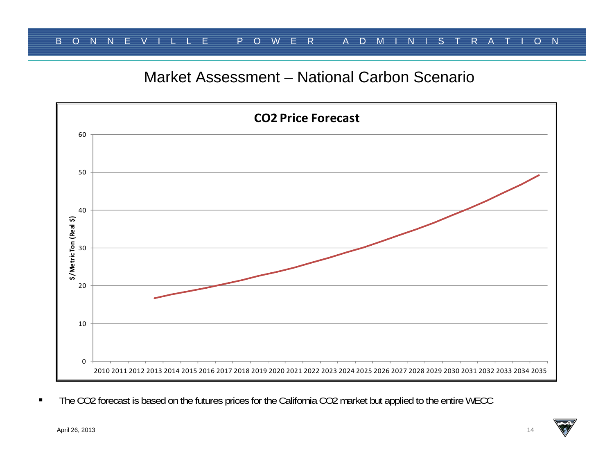## Market Assessment – National Carbon Scenario



 $\blacksquare$ The CO2 forecast is based on the futures prices for the California CO2 market but applied to the entire WECC

April 26, 2013 14

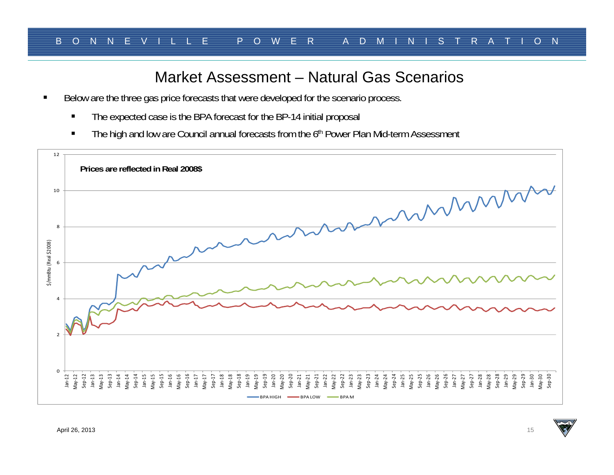#### Market Assessment – Natural Gas Scenarios

- $\blacksquare$  Below are the three gas price forecasts that were developed for the scenario process.
	- П The expected case is the BPA forecast for the BP-14 initial proposal
	- П The high and low are Council annual forecasts from the 6<sup>th</sup> Power Plan Mid-term Assessment

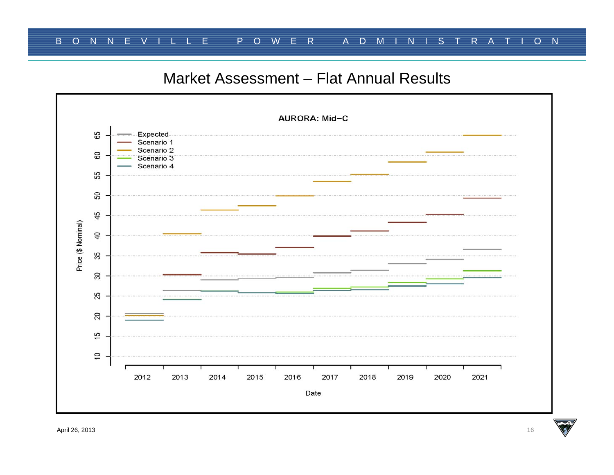#### Market Assessment – Flat Annual Results

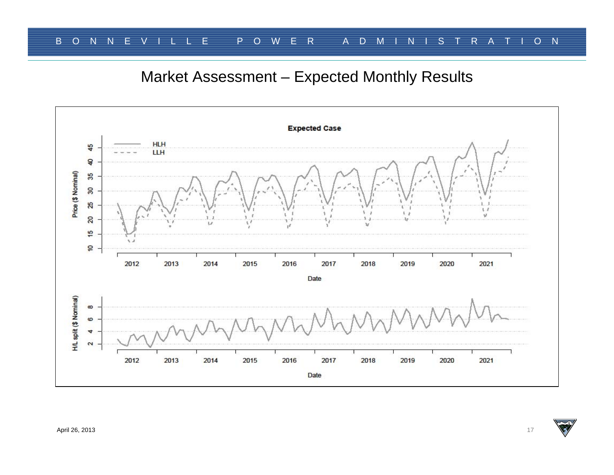## Market Assessment – Expected Monthly Results

![](_page_16_Figure_2.jpeg)

![](_page_16_Picture_5.jpeg)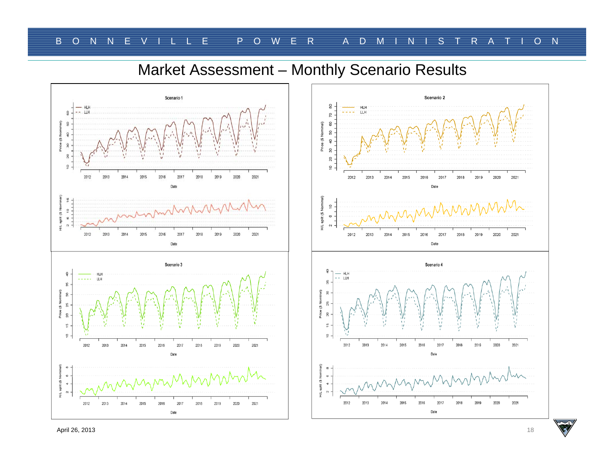## Market Assessment – Monthly Scenario Results

![](_page_17_Figure_2.jpeg)

![](_page_17_Figure_3.jpeg)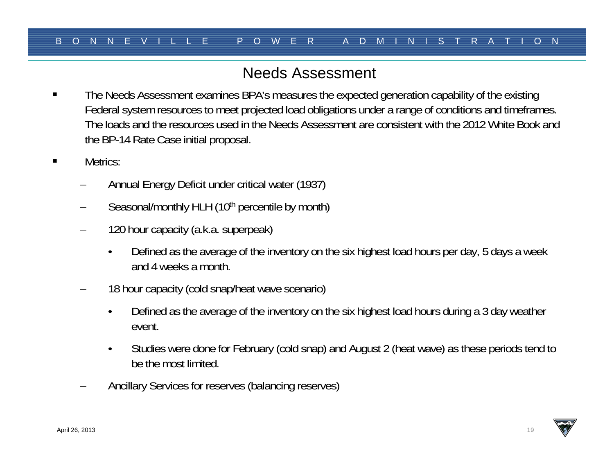## Needs Assessment

- The Needs Assessment examines BPA's measures the expected generation capability of the existing Federal system resources to meet projected load obligations under a range of conditions and timeframes. The loads and the resources used in the Needs Assessment are consistent with the 2012 White Book and the BP-14 Rate Case initial proposal.
- $\blacksquare$  Metrics:
	- Annual Energy Deficit under critical water (1937)
	- Seasonal/monthly HLH (10<sup>th</sup> percentile by month)
	- – 120 hour capacity (a.k.a. superpeak)
		- • Defined as the average of the inventory on the six highest load hours per day, 5 days a week and 4 weeks a month.
	- 18 hour capacity (cold snap/heat wave scenario)
		- • Defined as the average of the inventory on the six highest load hours during a 3 day weather event.
		- • Studies were done for February (cold snap) and August 2 (heat wave) as these periods tend to be the most limited.
	- Ancillary Services for reserves (balancing reserves)

![](_page_18_Picture_14.jpeg)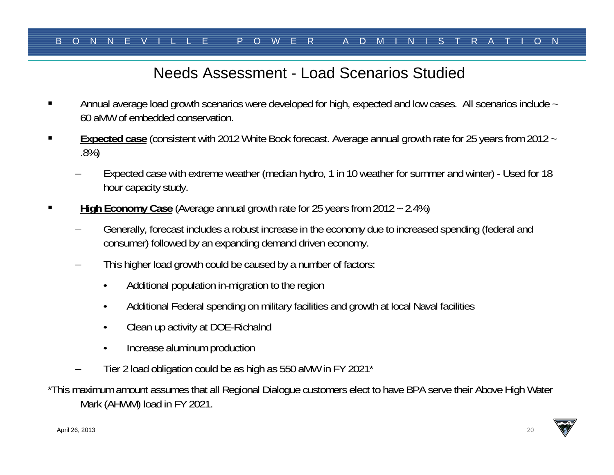## Needs Assessment - Load Scenarios Studied

- Annual average load growth scenarios were developed for high, expected and low cases. All scenarios include ~ 60 aMW of embedded conservation.
- **Expected case** (consistent with 2012 White Book forecast. Average annual growth rate for 25 years from 2012 ~ .8%)
	- Expected case with extreme weather (median hydro, 1 in 10 weather for summer and winter) Used for 18 hour capacity study.
- **High Economy Case** (Average annual growth rate for 25 years from 2012 ~ 2.4%)
	- Generally, forecast includes a robust increase in the economy due to increased spending (federal and consumer) followed by an expanding demand driven economy.
	- – This higher load growth could be caused by a number of factors:
		- •Additional population in-migration to the region
		- •Additional Federal spending on military facilities and growth at local Naval facilities
		- •Clean up activity at DOE-Richalnd
		- •Increase aluminum production
	- Tier 2 load obligation could be as high as 550 aMW in FY 2021\*

\*This maximum amount assumes that all Regional Dialogue customers elect to have BPA serve their Above High Water Mark (AHWM) load in FY 2021.

![](_page_19_Picture_16.jpeg)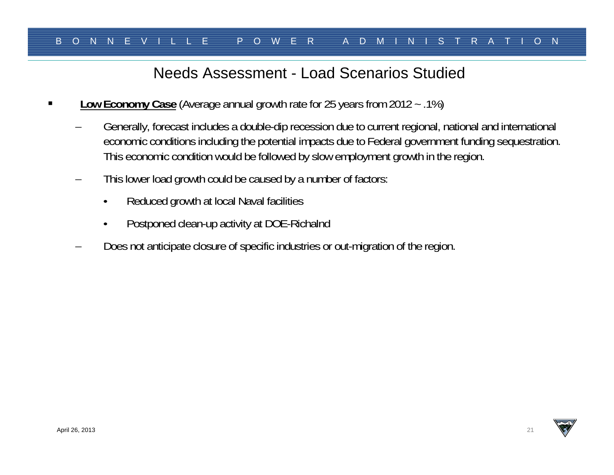## Needs Assessment - Load Scenarios Studied

- П **Low Economy Case** (Average annual growth rate for 25 years from 2012 ~ .1%)
	- Generally, forecast includes a double-dip recession due to current regional, national and international economic conditions including the potential impacts due to Federal government funding sequestration. This economic condition would be followed by slow employment growth in the region.
	- – This lower load growth could be caused by a number of factors:
		- •Reduced growth at local Naval facilities
		- •Postponed clean-up activity at DOE-Richalnd
	- Does not anticipate closure of specific industries or out-migration of the region.

![](_page_20_Picture_10.jpeg)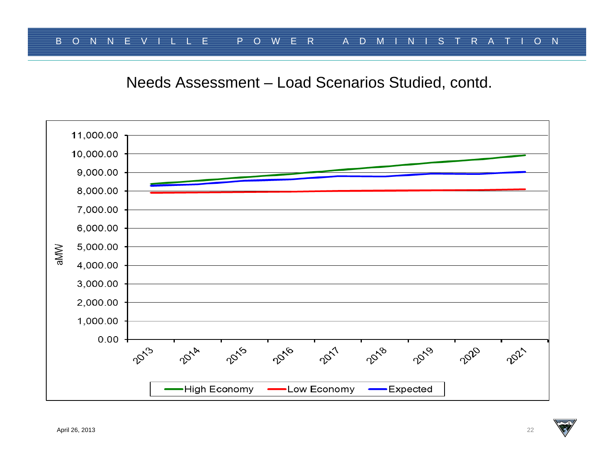Needs Assessment – Load Scenarios Studied, contd.

![](_page_21_Figure_2.jpeg)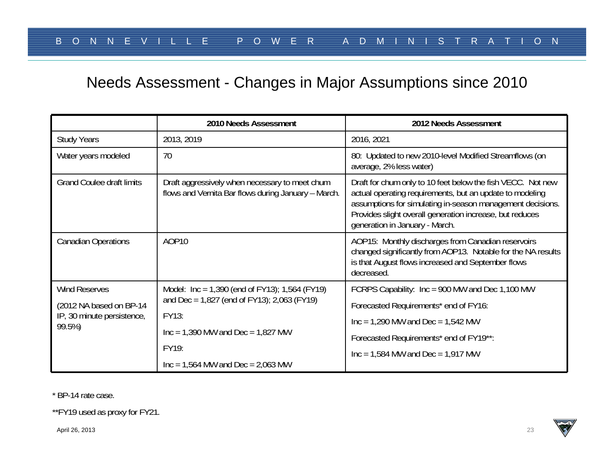## Needs Assessment - Changes in Major Assumptions since 2010

|                                                                 | 2010 Needs Assessment                                                                                 | 2012 Needs Assessment                                                                                                                                                                                                                                                               |
|-----------------------------------------------------------------|-------------------------------------------------------------------------------------------------------|-------------------------------------------------------------------------------------------------------------------------------------------------------------------------------------------------------------------------------------------------------------------------------------|
| <b>Study Years</b>                                              | 2013, 2019                                                                                            | 2016, 2021                                                                                                                                                                                                                                                                          |
| Water years modeled                                             | 70                                                                                                    | 80: Updated to new 2010-level Modified Streamflows (on<br>average, 2% less water)                                                                                                                                                                                                   |
| <b>Grand Coulee draft limits</b>                                | Draft aggressively when necessary to meet chum<br>flows and Vernita Bar flows during January - March. | Draft for chum only to 10 feet below the fish VECC. Not new<br>actual operating requirements, but an update to modeling<br>assumptions for simulating in-season management decisions.<br>Provides slight overall generation increase, but reduces<br>generation in January - March. |
| <b>Canadian Operations</b>                                      | AOP10                                                                                                 | AOP15: Monthly discharges from Canadian reservoirs<br>changed significantly from AOP13. Notable for the NA results<br>is that August flows increased and September flows<br>decreased.                                                                                              |
| <b>Wind Reserves</b>                                            | Model: $Inc = 1,390$ (end of FY13); 1,564 (FY19)                                                      | FCRPS Capability: Inc = 900 MW and Dec 1,100 MW                                                                                                                                                                                                                                     |
| (2012 NA based on BP-14<br>IP, 30 minute persistence,<br>99.5%) | and Dec = $1,827$ (end of FY13); 2,063 (FY19)                                                         | Forecasted Requirements* end of FY16:                                                                                                                                                                                                                                               |
|                                                                 | FY13:                                                                                                 | $Inc = 1,290$ MW and $Dec = 1,542$ MW                                                                                                                                                                                                                                               |
|                                                                 | $Inc = 1,390$ MW and $Dec = 1,827$ MW                                                                 | Forecasted Requirements* end of FY19**:                                                                                                                                                                                                                                             |
|                                                                 | FY19:                                                                                                 | $Inc = 1,584$ MW and $Dec = 1,917$ MW                                                                                                                                                                                                                                               |
|                                                                 | $Inc = 1,564$ MW and $Dec = 2,063$ MW                                                                 |                                                                                                                                                                                                                                                                                     |

\* BP-14 rate case.

\*\*FY19 used as proxy for FY21.

April 26, 2013 23

![](_page_22_Picture_7.jpeg)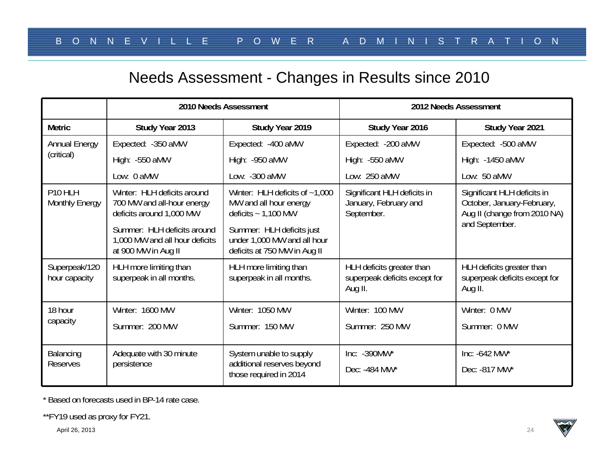## Needs Assessment - Changes in Results since 2010

|                                                                                      |                                                                                                                                                                                 | 2010 Needs Assessment                                                                    | 2012 Needs Assessment                                                 |                                                                                                             |  |
|--------------------------------------------------------------------------------------|---------------------------------------------------------------------------------------------------------------------------------------------------------------------------------|------------------------------------------------------------------------------------------|-----------------------------------------------------------------------|-------------------------------------------------------------------------------------------------------------|--|
| <b>Metric</b>                                                                        | Study Year 2013                                                                                                                                                                 | Study Year 2019                                                                          | Study Year 2016                                                       | Study Year 2021                                                                                             |  |
| <b>Annual Energy</b>                                                                 | Expected: - 350 aMW                                                                                                                                                             | Expected: -400 aMW                                                                       | Expected: - 200 aMW                                                   | Expected: -500 aMW                                                                                          |  |
| (critical)                                                                           | High: -550 aMW                                                                                                                                                                  | High: - 950 aMW                                                                          | High: -550 aMW                                                        | High: -1450 aMW                                                                                             |  |
|                                                                                      | Low: 0 aMW                                                                                                                                                                      | Low: -300 aMW                                                                            | Low: 250 aMW                                                          | Low: 50 aMW                                                                                                 |  |
| P <sub>10</sub> HLH<br><b>Monthly Energy</b>                                         | Winter: HLH deficits around<br>Winter: HLH deficits of $~1,000$<br>700 MW and all-hour energy<br>MW and all hour energy<br>deficits around 1,000 MW<br>deficits $\sim 1,100$ MW |                                                                                          | Significant HLH deficits in<br>January, February and<br>September.    | Significant HLH deficits in<br>October, January-February,<br>Aug II (change from 2010 NA)<br>and September. |  |
| Summer: HLH deficits around<br>1,000 MW and all hour deficits<br>at 900 MW in Aug II |                                                                                                                                                                                 | Summer: HLH deficits just<br>under 1,000 MW and all hour<br>deficits at 750 MW in Aug II |                                                                       |                                                                                                             |  |
| Superpeak/120<br>hour capacity                                                       | HLH more limiting than<br>superpeak in all months.                                                                                                                              | HLH more limiting than<br>superpeak in all months.                                       | HLH deficits greater than<br>superpeak deficits except for<br>Aug II. | HLH deficits greater than<br>superpeak deficits except for<br>Aug II.                                       |  |
| 18 hour                                                                              | Winter: 1600 MW                                                                                                                                                                 | Winter: 1050 MW                                                                          | Winter: 100 MW                                                        | Winter: 0 MW                                                                                                |  |
| capacity                                                                             | Summer: 200 MW                                                                                                                                                                  | Summer: 150 MW                                                                           | Summer: 250 MW                                                        | Summer: 0 MW                                                                                                |  |
| Balancing                                                                            | Adequate with 30 minute                                                                                                                                                         | System unable to supply                                                                  | Inc: -390MW*                                                          | Inc: $-642$ MW*                                                                                             |  |
| <b>Reserves</b>                                                                      | persistence                                                                                                                                                                     | additional reserves beyond<br>those required in 2014                                     | Dec: -484 MW*                                                         | Dec: - 817 MW*                                                                                              |  |

\* Based on forecasts used in BP-14 rate case.

\*\*FY19 used as proxy for FY21.

April 26, 2013 24

![](_page_23_Picture_7.jpeg)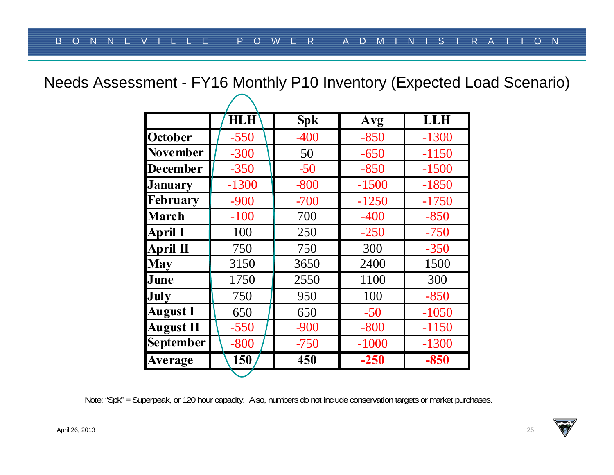Needs Assessment - FY16 Monthly P10 Inventory (Expected Load Scenario)

|                  | <b>HLH</b> | <b>Spk</b> | Avg     | LLH     |
|------------------|------------|------------|---------|---------|
| <b>October</b>   | $-550$     | -400       | $-850$  | $-1300$ |
| <b>November</b>  | $-300$     | 50         | $-650$  | $-1150$ |
| <b>December</b>  | $-350$     | $-50$      | $-850$  | $-1500$ |
| <b>January</b>   | $-1300$    | $-800$     | $-1500$ | $-1850$ |
| <b>February</b>  | $-900$     | $-700$     | $-1250$ | $-1750$ |
| <b>March</b>     | $-100$     | 700        | $-400$  | $-850$  |
| April I          | 100        | 250        | $-250$  | $-750$  |
| April II         | 750        | 750        | 300     | $-350$  |
| <b>May</b>       | 3150       | 3650       | 2400    | 1500    |
| June             | 1750       | 2550       | 1100    | 300     |
| July             | 750        | 950        | 100     | $-850$  |
| <b>August I</b>  | 650        | 650        | $-50$   | $-1050$ |
| <b>August II</b> | $-550$     | $-900$     | $-800$  | $-1150$ |
| <b>September</b> | $-800$     | $-750$     | $-1000$ | $-1300$ |
| Average          | 150        | 450        | $-250$  | $-850$  |

Note: "Spk" = Superpeak, or 120 hour capacity. Also, numbers do not include conservation targets or market purchases.

![](_page_24_Picture_6.jpeg)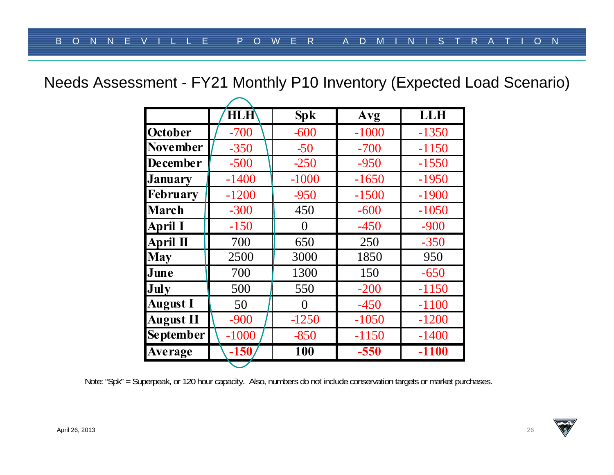Needs Assessment - FY21 Monthly P10 Inventory (Expected Load Scenario)

|                   | <b>HLH</b> | <b>Spk</b> | Avg     | <b>LLH</b> |
|-------------------|------------|------------|---------|------------|
| <b>October</b>    | $-700$     | $-600$     | $-1000$ | $-1350$    |
| <b>November</b>   | $-350$     | $-50$      | $-700$  | $-1150$    |
| <b>December</b>   | $-500$     | $-250$     | $-950$  | $-1550$    |
| <b>January</b>    | $-1400$    | $-1000$    | $-1650$ | $-1950$    |
| <b>February</b>   | $-1200$    | $-950$     | $-1500$ | $-1900$    |
| <b>March</b>      | $-300$     | 450        | $-600$  | $-1050$    |
| <b>April I</b>    | $-150$     | $\theta$   | $-450$  | $-900$     |
| April $\mathbf I$ | 700        | 650        | 250     | $-350$     |
| <b>May</b>        | 2500       | 3000       | 1850    | 950        |
| June              | 700        | 1300       | 150     | $-650$     |
| July              | 500        | 550        | $-200$  | $-1150$    |
| <b>August I</b>   | 50         | $\Omega$   | $-450$  | $-1100$    |
| <b>August II</b>  | $-900$     | $-1250$    | $-1050$ | $-1200$    |
| <b>September</b>  | $-1000$    | $-850$     | $-1150$ | $-1400$    |
| Average           | $-150$     | 100        | $-550$  | $-1100$    |

Note: "Spk" = Superpeak, or 120 hour capacity. Also, numbers do not include conservation targets or market purchases.

![](_page_25_Picture_6.jpeg)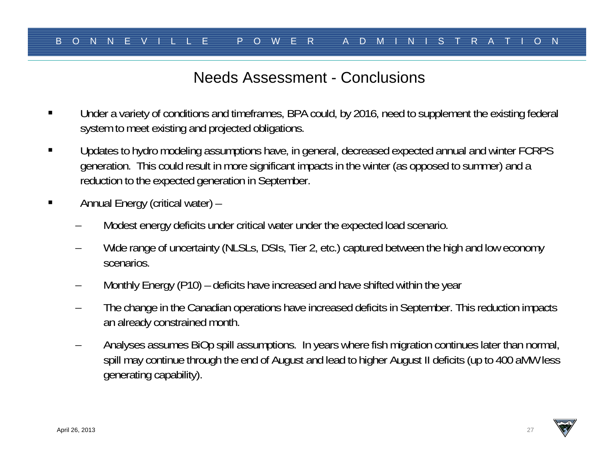#### Needs Assessment - Conclusions

- $\blacksquare$  Under a variety of conditions and timeframes, BPA could, by 2016, need to supplement the existing federal system to meet existing and projected obligations.
- $\blacksquare$  Updates to hydro modeling assumptions have, in general, decreased expected annual and winter FCRPS generation. This could result in more significant impacts in the winter (as opposed to summer) and a reduction to the expected generation in September.
- $\blacksquare$  Annual Energy (critical water) –
	- Modest energy deficits under critical water under the expected load scenario.
	- Wide range of uncertainty (NLSLs, DSIs, Tier 2, etc.) captured between the high and low economy scenarios.
	- Monthly Energy (P10) deficits have increased and have shifted within the year
	- – The change in the Canadian operations have increased deficits in September. This reduction impacts an already constrained month.
	- Analyses assumes BiOp spill assumptions. In years where fish migration continues later than normal, spill may continue through the end of August and lead to higher August II deficits (up to 400 aMW less generating capability).

![](_page_26_Picture_12.jpeg)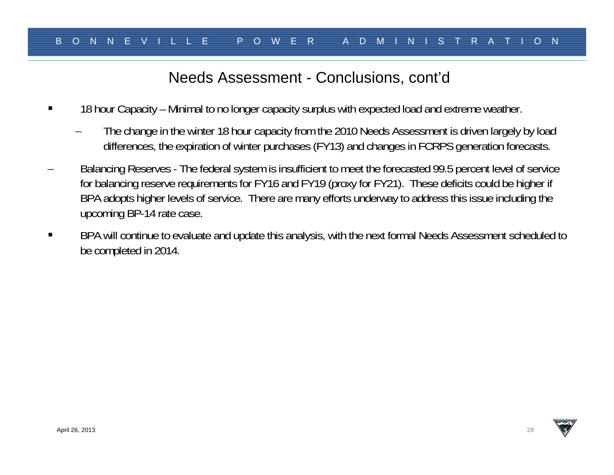#### Needs Assessment - Conclusions, cont'd

- $\blacksquare$  18 hour Capacity – Minimal to no longer capacity surplus with expected load and extreme weather.
	- The change in the winter 18 hour capacity from the 2010 Needs Assessment is driven largely by load differences, the expiration of winter purchases (FY13) and changes in FCRPS generation forecasts.
- Balancing Reserves The federal system is insufficient to meet the forecasted 99.5 percent level of service for balancing reserve requirements for FY16 and FY19 (proxy for FY21). These deficits could be higher if BPA adopts higher levels of service. There are many efforts underway to address this issue including the upcoming BP-14 rate case.
- П BPA will continue to evaluate and update this analysis, with the next formal Needs Assessment scheduled to be completed in 2014.

![](_page_27_Picture_8.jpeg)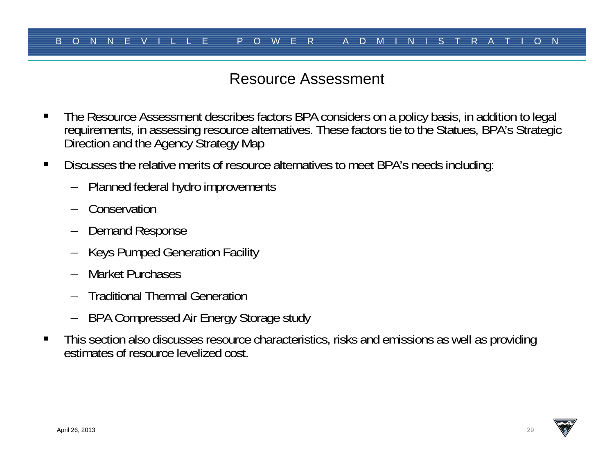## Resource Assessment

- п The Resource Assessment describes factors BPA considers on a policy basis, in addition to legal requirements, in assessing resource alternatives. These factors tie to the Statues, BPA's Strategic Direction and the Agency Strategy Map
- $\blacksquare$  Discusses the relative merits of resource alternatives to meet BPA's needs including:
	- Planned federal hydro improvements
	- Conservation
	- Demand Response
	- Keys Pumped Generation Facility
	- Market Purchases
	- Traditional Thermal Generation
	- –BPA Compressed Air Energy Storage study
- $\blacksquare$  This section also discusses resource characteristics, risks and emissions as well as providing estimates of resource levelized cost.

![](_page_28_Picture_14.jpeg)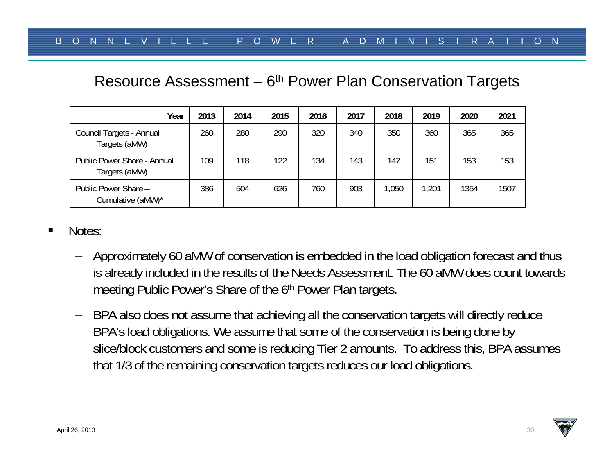#### Resource Assessment – 6<sup>th</sup> Power Plan Conservation Targets

| Year                                         | 2013 | 2014 | 2015 | 2016 | 2017 | 2018 | 2019  | 2020 | 2021 |
|----------------------------------------------|------|------|------|------|------|------|-------|------|------|
| Council Targets - Annual<br>Targets (aMW)    | 260  | 280  | 290  | 320  | 340  | 350  | 360   | 365  | 365  |
| Public Power Share - Annual<br>Targets (aMW) | 109  | 118  | 122  | 134  | 143  | 147  | 151   | 153  | 153  |
| Public Power Share -<br>Cumulative (aMW)*    | 386  | 504  | 626  | 760  | 903  | ,050 | 1,201 | 1354 | 1507 |

- Notes:
	- Approximately 60 aMW of conservation is embedded in the load obligation forecast and thus is already included in the results of the Needs Assessment. The 60 aMW does count towards meeting Public Power's Share of the 6<sup>th</sup> Power Plan targets.
	- BPA also does not assume that achieving all the conservation targets will directly reduce BPA's load obligations. We assume that some of the conservation is being done by slice/block customers and some is reducing Tier 2 amounts. To address this, BPA assumes that 1/3 of the remaining conservation targets reduces our load obligations.

![](_page_29_Picture_8.jpeg)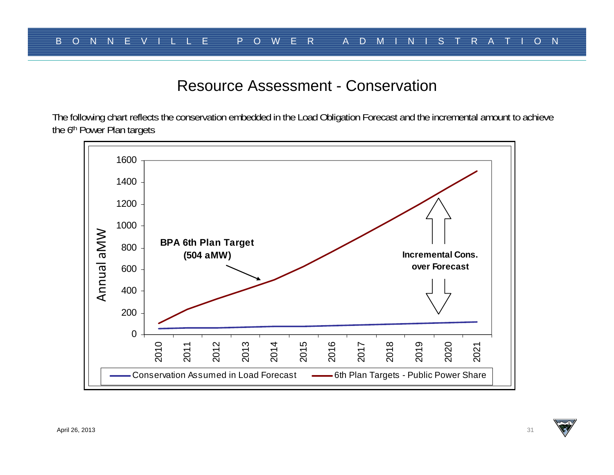#### Resource Assessment - Conservation

The following chart reflects the conservation embedded in the Load Obligation Forecast and the incremental amount to achieve the 6<sup>th</sup> Power Plan targets

![](_page_30_Figure_3.jpeg)

![](_page_30_Picture_6.jpeg)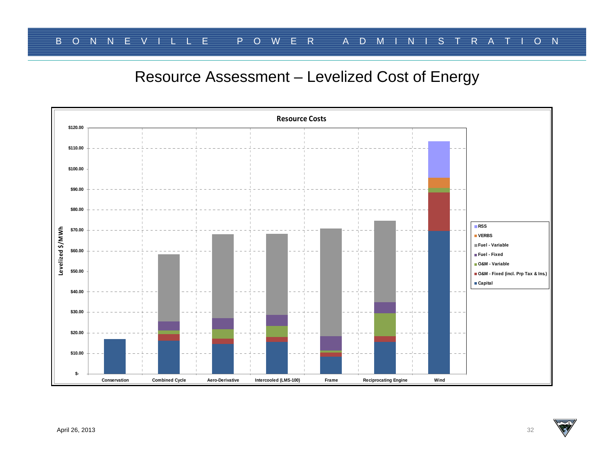## Resource Assessment – Levelized Cost of Energy

![](_page_31_Figure_2.jpeg)

![](_page_31_Picture_5.jpeg)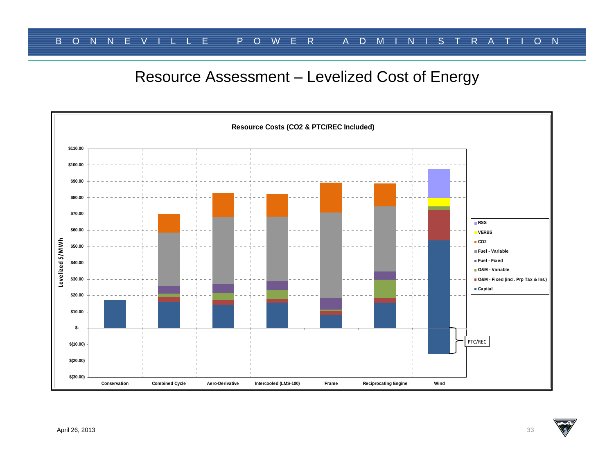## Resource Assessment – Levelized Cost of Energy

![](_page_32_Figure_2.jpeg)

![](_page_32_Picture_5.jpeg)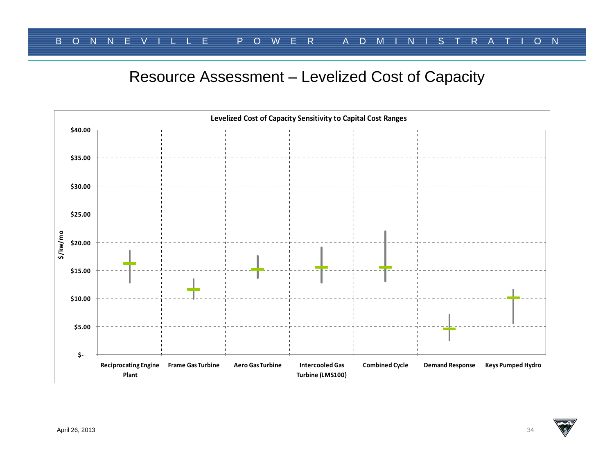# Resource Assessment – Levelized Cost of Capacity

![](_page_33_Figure_2.jpeg)

![](_page_33_Picture_5.jpeg)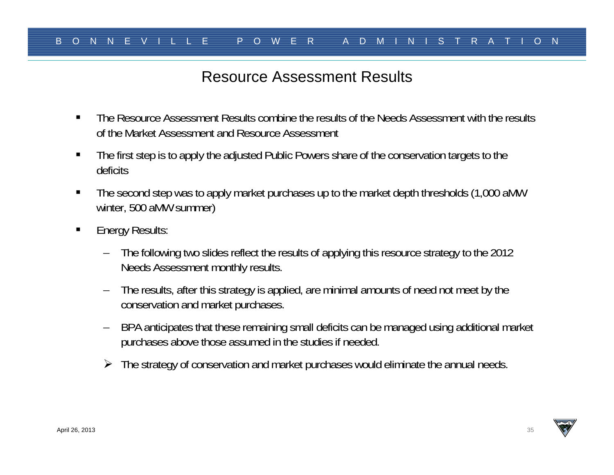## Resource Assessment Results

- $\blacksquare$  The Resource Assessment Results combine the results of the Needs Assessment with the results of the Market Assessment and Resource Assessment
- $\blacksquare$  The first step is to apply the adjusted Public Powers share of the conservation targets to the deficits
- $\blacksquare$  The second step was to apply market purchases up to the market depth thresholds (1,000 aMW winter, 500 aMW summer)
- $\blacksquare$  Energy Results:
	- The following two slides reflect the results of applying this resource strategy to the 2012 Needs Assessment monthly results.
	- – The results, after this strategy is applied, are minimal amounts of need not meet by the conservation and market purchases.
	- – BPA anticipates that these remaining small deficits can be managed using additional market purchases above those assumed in the studies if needed.
	- The strategy of conservation and market purchases would eliminate the annual needs.

![](_page_34_Picture_12.jpeg)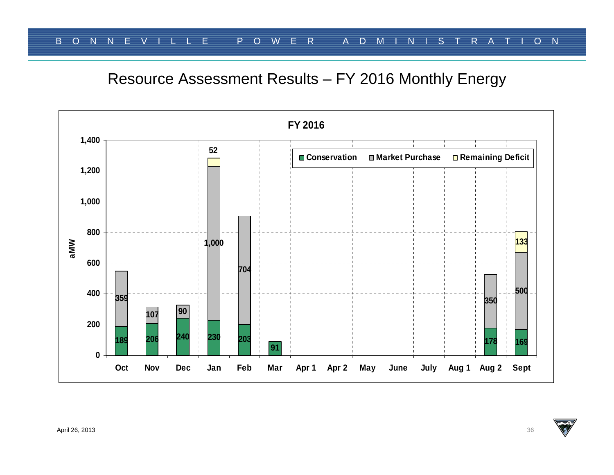Resource Assessment Results – FY 2016 Monthly Energy

![](_page_35_Figure_2.jpeg)

![](_page_35_Picture_5.jpeg)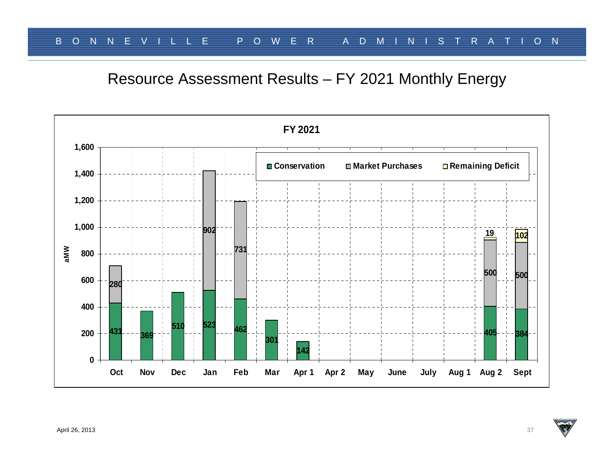Resource Assessment Results – FY 2021 Monthly Energy

![](_page_36_Figure_2.jpeg)

![](_page_36_Picture_5.jpeg)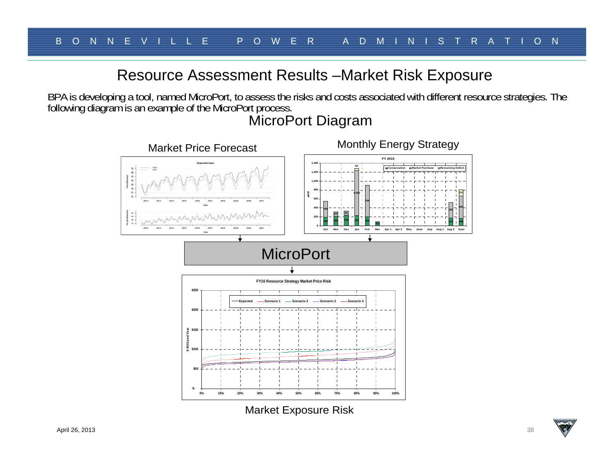#### Resource Assessment Results –Market Risk Exposure

BPA is developing a tool, named MicroPort, to assess the risks and costs associated with different resource strategies. The following diagram is an example of the MicroPort process.

![](_page_37_Figure_3.jpeg)

## MicroPort Diagram

Market Exposure Risk

**133**

![](_page_37_Picture_8.jpeg)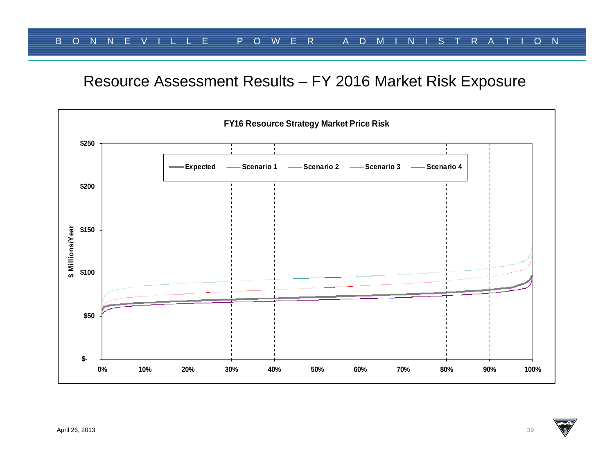#### Resource Assessment Results – FY 2016 Market Risk Exposure

![](_page_38_Figure_2.jpeg)

![](_page_38_Picture_5.jpeg)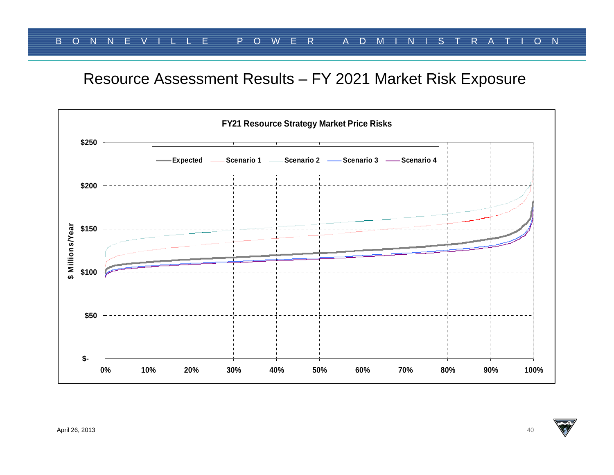# Resource Assessment Results – FY 2021 Market Risk Exposure

![](_page_39_Figure_2.jpeg)

![](_page_39_Picture_5.jpeg)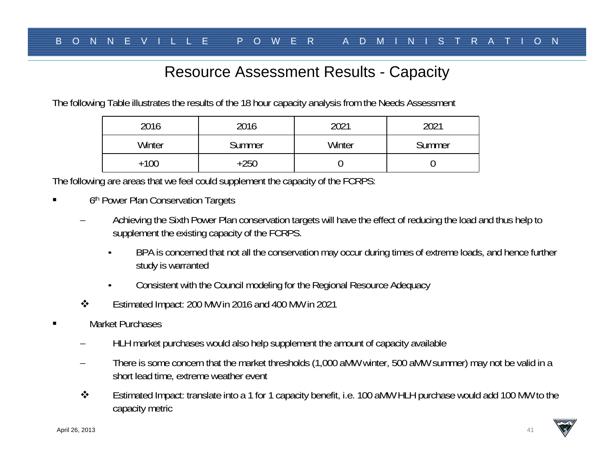## Resource Assessment Results - Capacity

The following Table illustrates the results of the 18 hour capacity analysis from the Needs Assessment

| 2016   | 2016   | 2021   | 2021   |
|--------|--------|--------|--------|
| Winter | Summer | Winter | Summer |
| +100   | +250   |        |        |

The following are areas that we feel could supplement the capacity of the FCRPS:

- $\blacksquare$ 6<sup>th</sup> Power Plan Conservation Targets
	- Achieving the Sixth Power Plan conservation targets will have the effect of reducing the load and thus help to supplement the existing capacity of the FCRPS.
		- • BPA is concerned that not all the conservation may occur during times of extreme loads, and hence further study is warranted
		- •Consistent with the Council modeling for the Regional Resource Adequacy
	- $\bullet^{\bullet}_{\bullet} \bullet$ Estimated Impact: 200 MW in 2016 and 400 MW in 2021
- $\blacksquare$  Market Purchases
	- HLH market purchases would also help supplement the amount of capacity available
	- There is some concern that the market thresholds (1,000 aMW winter, 500 aMW summer) may not be valid in a short lead time, extreme weather event
	- $\bullet^{\bullet}_{\bullet} \bullet$  Estimated Impact: translate into a 1 for 1 capacity benefit, i.e. 100 aMW HLH purchase would add 100 MW to the capacity metric

![](_page_40_Picture_16.jpeg)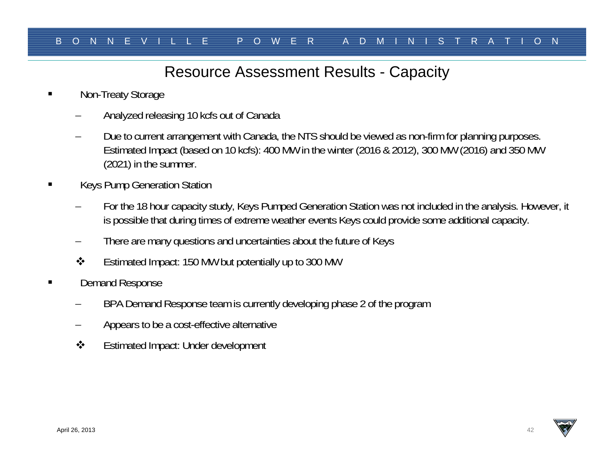## Resource Assessment Results - Capacity

- Non-Treaty Storage
	- Analyzed releasing 10 kcfs out of Canada
	- Due to current arrangement with Canada, the NTS should be viewed as non-firm for planning purposes. Estimated Impact (based on 10 kcfs): 400 MW in the winter (2016 & 2012), 300 MW (2016) and 350 MW (2021) in the summer.
- Keys Pump Generation Station
	- For the 18 hour capacity study, Keys Pumped Generation Station was not included in the analysis. However, it is possible that during times of extreme weather events Keys could provide some additional capacity.
	- There are many questions and uncertainties about the future of Keys
	- $\frac{1}{2}$ Estimated Impact: 150 MW but potentially up to 300 MW
- Demand Response
	- BPA Demand Response team is currently developing phase 2 of the program
	- Appears to be a cost-effective alternative
	- $\frac{1}{2}$ Estimated Impact: Under development

![](_page_41_Picture_15.jpeg)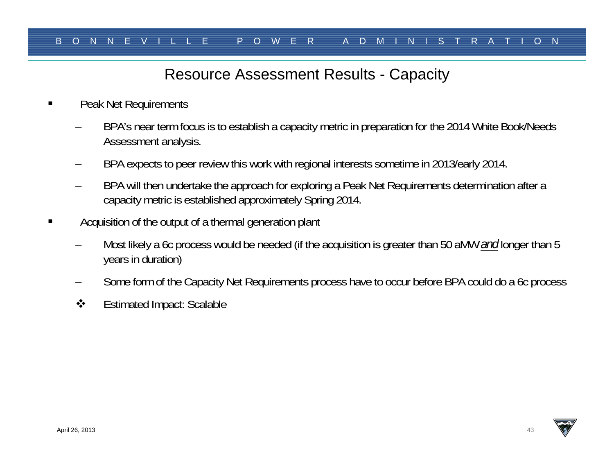## Resource Assessment Results - Capacity

- п Peak Net Requirements
	- BPA's near term focus is to establish a capacity metric in preparation for the 2014 White Book/Needs Assessment analysis.
	- BPA expects to peer review this work with regional interests sometime in 2013/early 2014.
	- BPA will then undertake the approach for exploring a Peak Net Requirements determination after a capacity metric is established approximately Spring 2014.
- П Acquisition of the output of a thermal generation plant
	- Most likely a 6c process would be needed (if the acquisition is greater than 50 aMW *and* longer than 5 years in duration)
	- Some form of the Capacity Net Requirements process have to occur before BPA could do a 6c process
	- $\frac{1}{2}$ Estimated Impact: Scalable

![](_page_42_Picture_12.jpeg)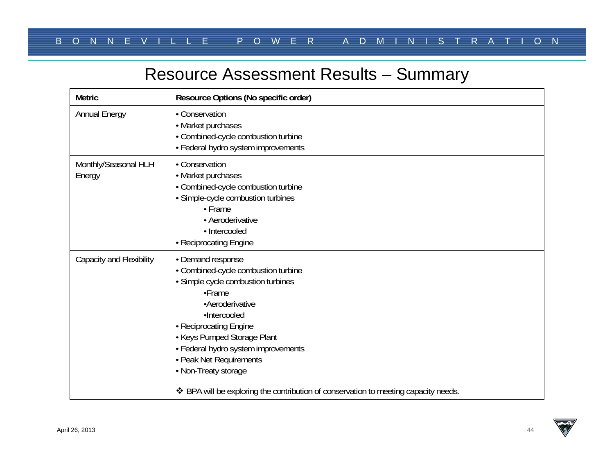# Resource Assessment Results – Summary

| <b>Metric</b>                   | Resource Options (No specific order)                                                                                                                                                                                                                                                                                                                                                  |
|---------------------------------|---------------------------------------------------------------------------------------------------------------------------------------------------------------------------------------------------------------------------------------------------------------------------------------------------------------------------------------------------------------------------------------|
| Annual Energy                   | • Conservation<br>• Market purchases<br>• Combined-cycle combustion turbine<br>• Federal hydro system improvements                                                                                                                                                                                                                                                                    |
| Monthly/Seasonal HLH<br>Energy  | • Conservation<br>• Market purchases<br>• Combined-cycle combustion turbine<br>· Simple-cycle combustion turbines<br>• Frame<br>• Aeroderivative<br>· Intercooled<br>• Reciprocating Engine                                                                                                                                                                                           |
| <b>Capacity and Flexibility</b> | • Demand response<br>• Combined-cycle combustion turbine<br>· Simple cycle combustion turbines<br>•Frame<br>·Aeroderivative<br>·Intercooled<br>• Reciprocating Engine<br>• Keys Pumped Storage Plant<br>• Federal hydro system improvements<br>• Peak Net Requirements<br>• Non-Treaty storage<br>❖ BPA will be exploring the contribution of conservation to meeting capacity needs. |

![](_page_43_Picture_5.jpeg)